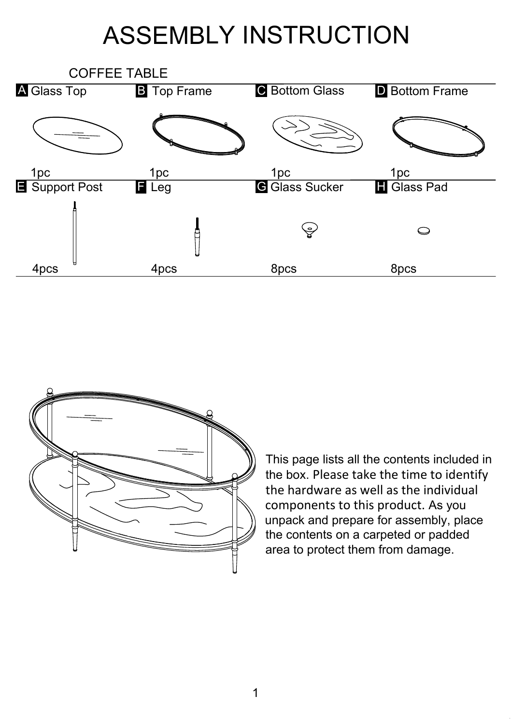## ASSEMBLY INSTRUCTION





This page lists all the contents included in the box. Please take the time to identify the hardware as well as the individual components to this product. As you unpack and prepare for assembly, place the contents on a carpeted or padded area to protect them from damage.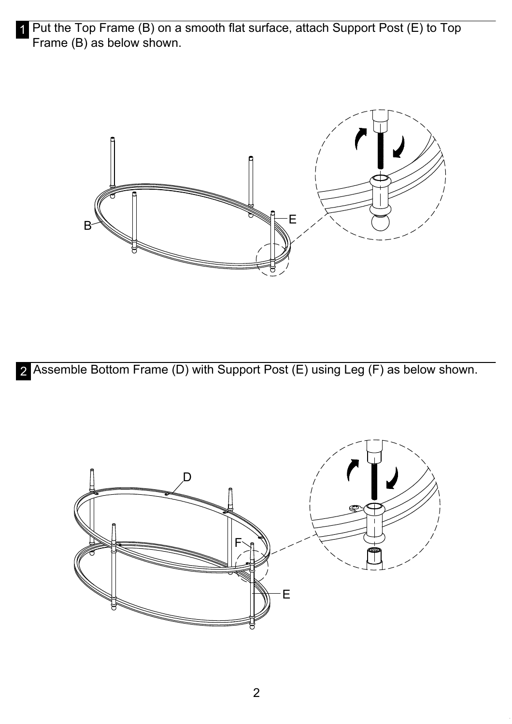1 Put the Top Frame (B) on a smooth flat surface, attach Support Post (E) to Top Frame (B) as below shown.



2 Assemble Bottom Frame (D) with Support Post (E) using Leg (F) as below shown.